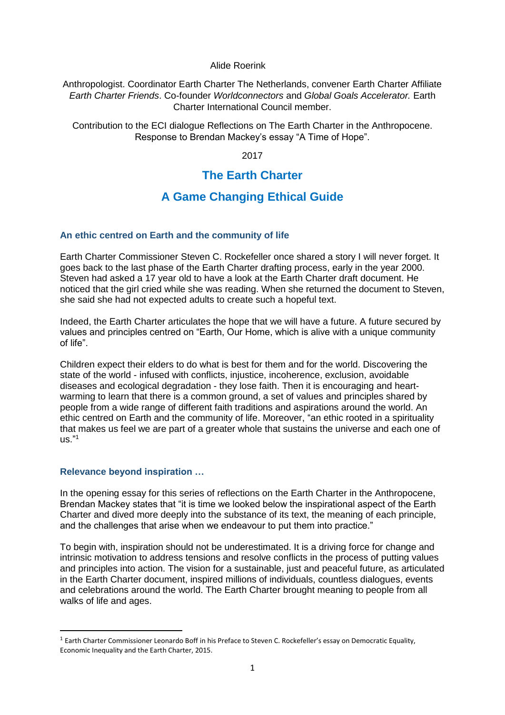#### Alide Roerink

Anthropologist. Coordinator Earth Charter The Netherlands, convener Earth Charter Affiliate *Earth Charter Friends*. Co-founder *Worldconnectors* and *Global Goals Accelerator.* Earth Charter International Council member.

Contribution to the ECI dialogue Reflections on The Earth Charter in the Anthropocene. Response to Brendan Mackey's essay "A Time of Hope".

2017

## **The Earth Charter**

# **A Game Changing Ethical Guide**

#### **An ethic centred on Earth and the community of life**

Earth Charter Commissioner Steven C. Rockefeller once shared a story I will never forget. It goes back to the last phase of the Earth Charter drafting process, early in the year 2000. Steven had asked a 17 year old to have a look at the Earth Charter draft document. He noticed that the girl cried while she was reading. When she returned the document to Steven, she said she had not expected adults to create such a hopeful text.

Indeed, the Earth Charter articulates the hope that we will have a future. A future secured by values and principles centred on "Earth, Our Home, which is alive with a unique community of life".

Children expect their elders to do what is best for them and for the world. Discovering the state of the world - infused with conflicts, injustice, incoherence, exclusion, avoidable diseases and ecological degradation - they lose faith. Then it is encouraging and heartwarming to learn that there is a common ground, a set of values and principles shared by people from a wide range of different faith traditions and aspirations around the world. An ethic centred on Earth and the community of life. Moreover, "an ethic rooted in a spirituality that makes us feel we are part of a greater whole that sustains the universe and each one of  $\overline{11S}$ ."1

#### **Relevance beyond inspiration …**

**.** 

In the opening essay for this series of reflections on the Earth Charter in the Anthropocene, Brendan Mackey states that "it is time we looked below the inspirational aspect of the Earth Charter and dived more deeply into the substance of its text, the meaning of each principle, and the challenges that arise when we endeavour to put them into practice."

To begin with, inspiration should not be underestimated. It is a driving force for change and intrinsic motivation to address tensions and resolve conflicts in the process of putting values and principles into action. The vision for a sustainable, just and peaceful future, as articulated in the Earth Charter document, inspired millions of individuals, countless dialogues, events and celebrations around the world. The Earth Charter brought meaning to people from all walks of life and ages.

<sup>&</sup>lt;sup>1</sup> Earth Charter Commissioner Leonardo Boff in his Preface to Steven C. Rockefeller's essay on Democratic Equality, Economic Inequality and the Earth Charter, 2015.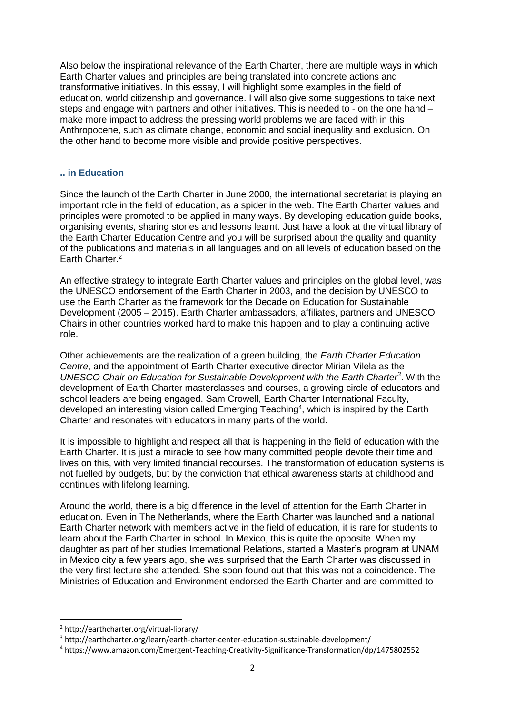Also below the inspirational relevance of the Earth Charter, there are multiple ways in which Earth Charter values and principles are being translated into concrete actions and transformative initiatives. In this essay, I will highlight some examples in the field of education, world citizenship and governance. I will also give some suggestions to take next steps and engage with partners and other initiatives. This is needed to - on the one hand – make more impact to address the pressing world problems we are faced with in this Anthropocene, such as climate change, economic and social inequality and exclusion. On the other hand to become more visible and provide positive perspectives.

### **.. in Education**

Since the launch of the Earth Charter in June 2000, the international secretariat is playing an important role in the field of education, as a spider in the web. The Earth Charter values and principles were promoted to be applied in many ways. By developing education guide books, organising events, sharing stories and lessons learnt. Just have a look at the virtual library of the Earth Charter Education Centre and you will be surprised about the quality and quantity of the publications and materials in all languages and on all levels of education based on the Earth Charter.<sup>2</sup>

An effective strategy to integrate Earth Charter values and principles on the global level, was the UNESCO endorsement of the Earth Charter in 2003, and the decision by UNESCO to use the Earth Charter as the framework for the Decade on Education for Sustainable Development (2005 – 2015). Earth Charter ambassadors, affiliates, partners and UNESCO Chairs in other countries worked hard to make this happen and to play a continuing active role.

Other achievements are the realization of a green building, the *Earth Charter Education Centre*, and the appointment of Earth Charter executive director Mirian Vilela as the *UNESCO Chair on Education for Sustainable Development with the Earth Charter<sup>3</sup>* . With the development of Earth Charter masterclasses and courses, a growing circle of educators and school leaders are being engaged. Sam Crowell, Earth Charter International Faculty, developed an interesting vision called Emerging Teaching<sup>4</sup>, which is inspired by the Earth Charter and resonates with educators in many parts of the world.

It is impossible to highlight and respect all that is happening in the field of education with the Earth Charter. It is just a miracle to see how many committed people devote their time and lives on this, with very limited financial recourses. The transformation of education systems is not fuelled by budgets, but by the conviction that ethical awareness starts at childhood and continues with lifelong learning.

Around the world, there is a big difference in the level of attention for the Earth Charter in education. Even in The Netherlands, where the Earth Charter was launched and a national Earth Charter network with members active in the field of education, it is rare for students to learn about the Earth Charter in school. In Mexico, this is quite the opposite. When my daughter as part of her studies International Relations, started a Master's program at UNAM in Mexico city a few years ago, she was surprised that the Earth Charter was discussed in the very first lecture she attended. She soon found out that this was not a coincidence. The Ministries of Education and Environment endorsed the Earth Charter and are committed to

**.** 

<sup>2</sup> http://earthcharter.org/virtual-library/

<sup>3</sup> http://earthcharter.org/learn/earth-charter-center-education-sustainable-development/

<sup>4</sup> https://www.amazon.com/Emergent-Teaching-Creativity-Significance-Transformation/dp/1475802552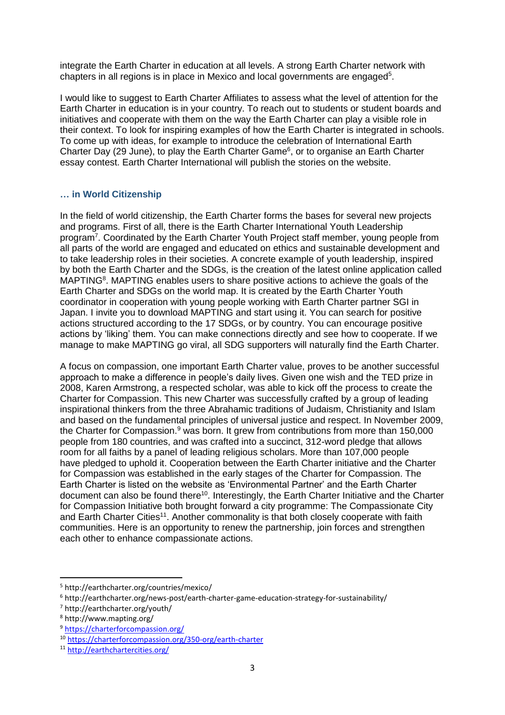integrate the Earth Charter in education at all levels. A strong Earth Charter network with chapters in all regions is in place in Mexico and local governments are engaged<sup>5</sup>.

I would like to suggest to Earth Charter Affiliates to assess what the level of attention for the Earth Charter in education is in your country. To reach out to students or student boards and initiatives and cooperate with them on the way the Earth Charter can play a visible role in their context. To look for inspiring examples of how the Earth Charter is integrated in schools. To come up with ideas, for example to introduce the celebration of International Earth Charter Day (29 June), to play the Earth Charter Game<sup>6</sup>, or to organise an Earth Charter essay contest. Earth Charter International will publish the stories on the website.

#### **… in World Citizenship**

In the field of world citizenship, the Earth Charter forms the bases for several new projects and programs. First of all, there is the Earth Charter International Youth Leadership program<sup>7</sup>. Coordinated by the Earth Charter Youth Project staff member, young people from all parts of the world are engaged and educated on ethics and sustainable development and to take leadership roles in their societies. A concrete example of youth leadership, inspired by both the Earth Charter and the SDGs, is the creation of the latest online application called MAPTING<sup>8</sup>. MAPTING enables users to share positive actions to achieve the goals of the Earth Charter and SDGs on the world map. It is created by the Earth Charter Youth coordinator in cooperation with young people working with Earth Charter partner SGI in Japan. I invite you to download MAPTING and start using it. You can search for positive actions structured according to the 17 SDGs, or by country. You can encourage positive actions by 'liking' them. You can make connections directly and see how to cooperate. If we manage to make MAPTING go viral, all SDG supporters will naturally find the Earth Charter.

A focus on compassion, one important Earth Charter value, proves to be another successful approach to make a difference in people's daily lives. Given one wish and the TED prize in 2008, Karen Armstrong, a respected scholar, was able to kick off the process to create the Charter for Compassion. This new Charter was successfully crafted by a group of leading inspirational thinkers from the three Abrahamic traditions of Judaism, Christianity and Islam and based on the fundamental principles of universal justice and respect. In November 2009, the Charter for Compassion.<sup>9</sup> was born. It grew from contributions from more than 150,000 people from 180 countries, and was crafted into a succinct, 312-word pledge that allows room for all faiths by a panel of leading religious scholars. More than 107,000 people have pledged to uphold it. Cooperation between the Earth Charter initiative and the Charter for Compassion was established in the early stages of the Charter for Compassion. The Earth Charter is listed on the website as 'Environmental Partner' and the Earth Charter document can also be found there<sup>10</sup>. Interestingly, the Earth Charter Initiative and the Charter for Compassion Initiative both brought forward a city programme: The Compassionate City and Earth Charter Cities<sup>11</sup>. Another commonality is that both closely cooperate with faith communities. Here is an opportunity to renew the partnership, join forces and strengthen each other to enhance compassionate actions.

**.** 

<sup>5</sup> http://earthcharter.org/countries/mexico/

<sup>6</sup> http://earthcharter.org/news-post/earth-charter-game-education-strategy-for-sustainability/

<sup>7</sup> http://earthcharter.org/youth/

<sup>8</sup> http://www.mapting.org/

<sup>9</sup> <https://charterforcompassion.org/>

<sup>10</sup> <https://charterforcompassion.org/350-org/earth-charter>

<sup>11</sup> <http://earthchartercities.org/>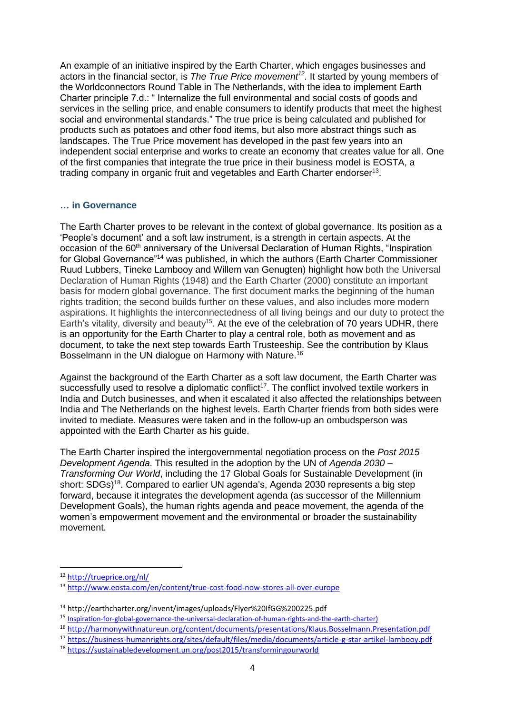An example of an initiative inspired by the Earth Charter, which engages businesses and actors in the financial sector, is *The True Price movement<sup>12</sup> .* It started by young members of the Worldconnectors Round Table in The Netherlands, with the idea to implement Earth Charter principle 7.d.: " Internalize the full environmental and social costs of goods and services in the selling price, and enable consumers to identify products that meet the highest social and environmental standards." The true price is being calculated and published for products such as potatoes and other food items, but also more abstract things such as landscapes. The True Price movement has developed in the past few years into an independent social enterprise and works to create an economy that creates value for all. One of the first companies that integrate the true price in their business model is EOSTA, a trading company in organic fruit and vegetables and Earth Charter endorser<sup>13</sup>.

#### **… in Governance**

The Earth Charter proves to be relevant in the context of global governance. Its position as a 'People's document' and a soft law instrument, is a strength in certain aspects. At the occasion of the 60<sup>th</sup> anniversary of the Universal Declaration of Human Rights, "Inspiration for Global Governance"<sup>14</sup> was published, in which the authors (Earth Charter Commissioner Ruud Lubbers, Tineke Lambooy and Willem van Genugten) highlight how both the Universal Declaration of Human Rights (1948) and the Earth Charter (2000) constitute an important basis for modern global governance. The first document marks the beginning of the human rights tradition; the second builds further on these values, and also includes more modern aspirations. It highlights the interconnectedness of all living beings and our duty to protect the Earth's vitality, diversity and beauty<sup>15</sup>. At the eve of the celebration of 70 years UDHR, there is an opportunity for the Earth Charter to play a central role, both as movement and as document, to take the next step towards Earth Trusteeship. See the contribution by Klaus Bosselmann in the UN dialogue on Harmony with Nature.<sup>16</sup>

Against the background of the Earth Charter as a soft law document, the Earth Charter was successfully used to resolve a diplomatic conflict<sup>17</sup>. The conflict involved textile workers in India and Dutch businesses, and when it escalated it also affected the relationships between India and The Netherlands on the highest levels. Earth Charter friends from both sides were invited to mediate. Measures were taken and in the follow-up an ombudsperson was appointed with the Earth Charter as his guide.

The Earth Charter inspired the intergovernmental negotiation process on the *Post 2015 Development Agenda*. This resulted in the adoption by the UN of *Agenda 2030 – Transforming Our World*, including the 17 Global Goals for Sustainable Development (in short: SDGs)<sup>18</sup>. Compared to earlier UN agenda's, Agenda 2030 represents a big step forward, because it integrates the development agenda (as successor of the Millennium Development Goals), the human rights agenda and peace movement, the agenda of the women's empowerment movement and the environmental or broader the sustainability movement.

1

<sup>12</sup> <http://trueprice.org/nl/>

<sup>13</sup> <http://www.eosta.com/en/content/true-cost-food-now-stores-all-over-europe>

<sup>14</sup> http://earthcharter.org/invent/images/uploads/Flyer%20IfGG%200225.pdf

<sup>15</sup> [Inspiration-for-global-governance-the-universal-declaration-of-human-rights-and-the-earth-charter\)](mailto:http://earthcharter.org/virtual-library2/inspiration-for-global-governance-the-universal-declaration-of-human-rights-and-the-earth-charter/)

<sup>16</sup> <http://harmonywithnatureun.org/content/documents/presentations/Klaus.Bosselmann.Presentation.pdf>

<sup>17</sup> <https://business-humanrights.org/sites/default/files/media/documents/article-g-star-artikel-lambooy.pdf>

<sup>18</sup> <https://sustainabledevelopment.un.org/post2015/transformingourworld>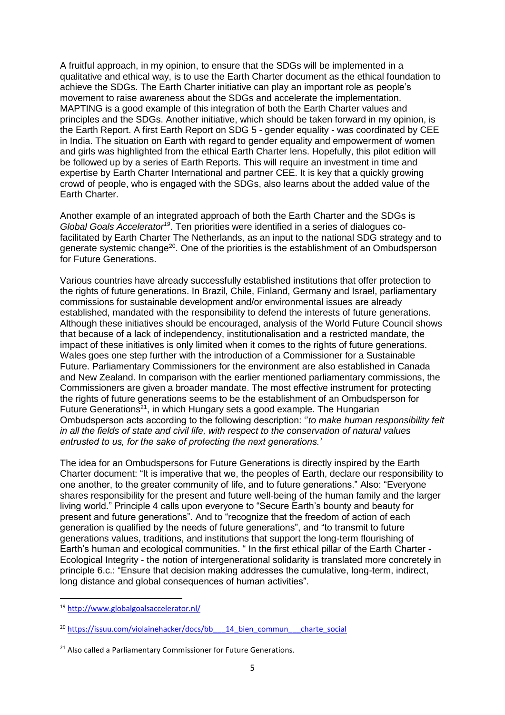A fruitful approach, in my opinion, to ensure that the SDGs will be implemented in a qualitative and ethical way, is to use the Earth Charter document as the ethical foundation to achieve the SDGs. The Earth Charter initiative can play an important role as people's movement to raise awareness about the SDGs and accelerate the implementation. MAPTING is a good example of this integration of both the Earth Charter values and principles and the SDGs. Another initiative, which should be taken forward in my opinion, is the Earth Report. A first Earth Report on SDG 5 - gender equality - was coordinated by CEE in India. The situation on Earth with regard to gender equality and empowerment of women and girls was highlighted from the ethical Earth Charter lens. Hopefully, this pilot edition will be followed up by a series of Earth Reports. This will require an investment in time and expertise by Earth Charter International and partner CEE. It is key that a quickly growing crowd of people, who is engaged with the SDGs, also learns about the added value of the Earth Charter.

Another example of an integrated approach of both the Earth Charter and the SDGs is *Global Goals Accelerator<sup>19</sup>* . Ten priorities were identified in a series of dialogues cofacilitated by Earth Charter The Netherlands, as an input to the national SDG strategy and to generate systemic change<sup>20</sup>. One of the priorities is the establishment of an Ombudsperson for Future Generations.

Various countries have already successfully established institutions that offer protection to the rights of future generations. In Brazil, Chile, Finland, Germany and Israel, parliamentary commissions for sustainable development and/or environmental issues are already established, mandated with the responsibility to defend the interests of future generations. Although these initiatives should be encouraged, analysis of the World Future Council shows that because of a lack of independency, institutionalisation and a restricted mandate, the impact of these initiatives is only limited when it comes to the rights of future generations. Wales goes one step further with the introduction of a Commissioner for a Sustainable Future. Parliamentary Commissioners for the environment are also established in Canada and New Zealand. In comparison with the earlier mentioned parliamentary commissions, the Commissioners are given a broader mandate. The most effective instrument for protecting the rights of future generations seems to be the establishment of an Ombudsperson for Future Generations<sup>21</sup>, in which Hungary sets a good example. The Hungarian Ombudsperson acts according to the following description: ''*to make human responsibility felt in all the fields of state and civil life, with respect to the conservation of natural values entrusted to us, for the sake of protecting the next generations.'*

The idea for an Ombudspersons for Future Generations is directly inspired by the Earth Charter document: "It is imperative that we, the peoples of Earth, declare our responsibility to one another, to the greater community of life, and to future generations." Also: "Everyone shares responsibility for the present and future well-being of the human family and the larger living world." Principle 4 calls upon everyone to "Secure Earth's bounty and beauty for present and future generations". And to "recognize that the freedom of action of each generation is qualified by the needs of future generations", and "to transmit to future generations values, traditions, and institutions that support the long-term flourishing of Earth's human and ecological communities. " In the first ethical pillar of the Earth Charter - Ecological Integrity - the notion of intergenerational solidarity is translated more concretely in principle 6.c.: "Ensure that decision making addresses the cumulative, long-term, indirect, long distance and global consequences of human activities".

**.** 

<sup>19</sup> <http://www.globalgoalsaccelerator.nl/>

<sup>&</sup>lt;sup>20</sup> https://issuu.com/violainehacker/docs/bb 14 bien\_commun charte\_social

<sup>&</sup>lt;sup>21</sup> Also called a Parliamentary Commissioner for Future Generations.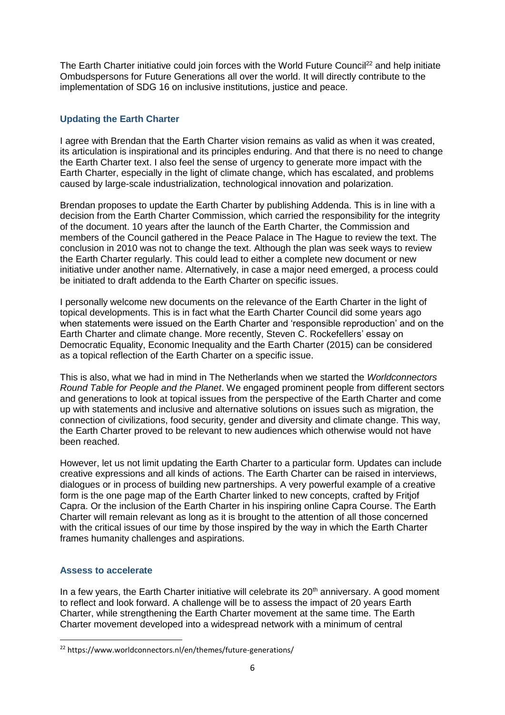The Earth Charter initiative could join forces with the World Future Council<sup>22</sup> and help initiate Ombudspersons for Future Generations all over the world. It will directly contribute to the implementation of SDG 16 on inclusive institutions, justice and peace.

## **Updating the Earth Charter**

I agree with Brendan that the Earth Charter vision remains as valid as when it was created, its articulation is inspirational and its principles enduring. And that there is no need to change the Earth Charter text. I also feel the sense of urgency to generate more impact with the Earth Charter, especially in the light of climate change, which has escalated, and problems caused by large-scale industrialization, technological innovation and polarization.

Brendan proposes to update the Earth Charter by publishing Addenda. This is in line with a decision from the Earth Charter Commission, which carried the responsibility for the integrity of the document. 10 years after the launch of the Earth Charter, the Commission and members of the Council gathered in the Peace Palace in The Hague to review the text. The conclusion in 2010 was not to change the text. Although the plan was seek ways to review the Earth Charter regularly. This could lead to either a complete new document or new initiative under another name. Alternatively, in case a major need emerged, a process could be initiated to draft addenda to the Earth Charter on specific issues.

I personally welcome new documents on the relevance of the Earth Charter in the light of topical developments. This is in fact what the Earth Charter Council did some years ago when statements were issued on the Earth Charter and 'responsible reproduction' and on the Earth Charter and climate change. More recently, Steven C. Rockefellers' essay on Democratic Equality, Economic Inequality and the Earth Charter (2015) can be considered as a topical reflection of the Earth Charter on a specific issue.

This is also, what we had in mind in The Netherlands when we started the *Worldconnectors Round Table for People and the Planet*. We engaged prominent people from different sectors and generations to look at topical issues from the perspective of the Earth Charter and come up with statements and inclusive and alternative solutions on issues such as migration, the connection of civilizations, food security, gender and diversity and climate change. This way, the Earth Charter proved to be relevant to new audiences which otherwise would not have been reached.

However, let us not limit updating the Earth Charter to a particular form. Updates can include creative expressions and all kinds of actions. The Earth Charter can be raised in interviews, dialogues or in process of building new partnerships. A very powerful example of a creative form is the one page map of the Earth Charter linked to new concepts, crafted by Fritjof Capra. Or the inclusion of the Earth Charter in his inspiring online Capra Course. The Earth Charter will remain relevant as long as it is brought to the attention of all those concerned with the critical issues of our time by those inspired by the way in which the Earth Charter frames humanity challenges and aspirations.

#### **Assess to accelerate**

1

In a few years, the Earth Charter initiative will celebrate its  $20<sup>th</sup>$  anniversary. A good moment to reflect and look forward. A challenge will be to assess the impact of 20 years Earth Charter, while strengthening the Earth Charter movement at the same time. The Earth Charter movement developed into a widespread network with a minimum of central

<sup>22</sup> https://www.worldconnectors.nl/en/themes/future-generations/